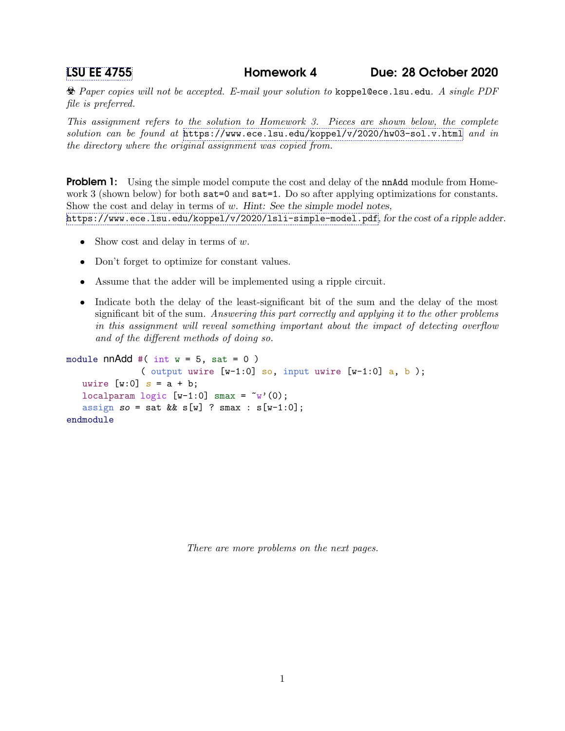[LSU EE 4755](https://www.ece.lsu.edu/koppel/v/) Homework 4 Due: 28 October 2020

 $\&$  Paper copies will not be accepted. E-mail your solution to koppel@ece.lsu.edu. A single PDF file is preferred.

This assignment refers to the solution to Homework 3. Pieces are shown below, the complete solution can be found at <https://www.ece.lsu.edu/koppel/v/2020/hw03-sol.v.html> and in the directory where the original assignment was copied from.

**Problem 1:** Using the simple model compute the cost and delay of the nnAdd module from Homework 3 (shown below) for both sat=0 and sat=1. Do so after applying optimizations for constants. Show the cost and delay in terms of w. Hint: See the simple model notes, <https://www.ece.lsu.edu/koppel/v/2020/lsli-simple-model.pdf>, for the cost of a ripple adder.

- Show cost and delay in terms of  $w$ .
- Don't forget to optimize for constant values.
- Assume that the adder will be implemented using a ripple circuit.
- Indicate both the delay of the least-significant bit of the sum and the delay of the most significant bit of the sum. Answering this part correctly and applying it to the other problems in this assignment will reveal something important about the impact of detecting overflow and of the different methods of doing so.

```
module nnAdd #( int w = 5, sat = 0 )
              ( output uwire [w-1:0] so, input uwire [w-1:0] a, b );
   uwire [w:0] s = a + b;
   localparam logic [w-1:0] smax = \tilde{w}'(0);
   assign so = sat && s[w] ? smax : s[w-1:0];
endmodule
```
There are more problems on the next pages.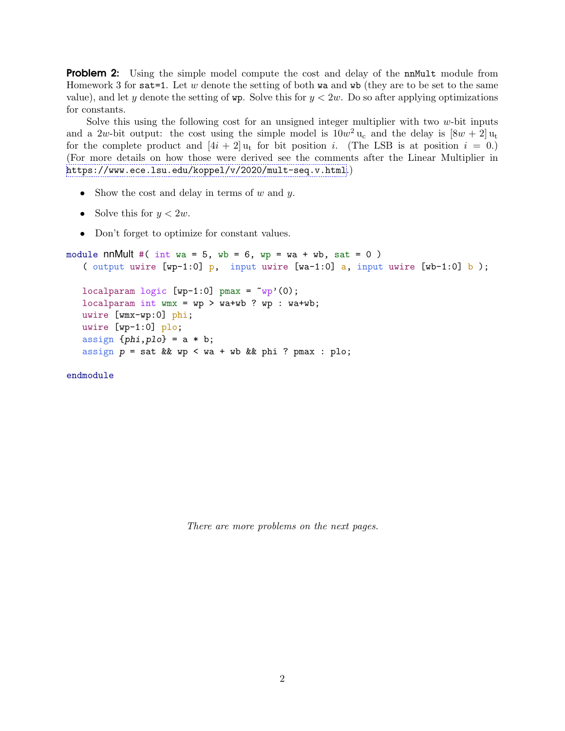Problem 2: Using the simple model compute the cost and delay of the nnMult module from Homework 3 for sat = 1. Let w denote the setting of both wa and wb (they are to be set to the same value), and let y denote the setting of  $wp$ . Solve this for  $y < 2w$ . Do so after applying optimizations for constants.

Solve this using the following cost for an unsigned integer multiplier with two  $w$ -bit inputs and a 2w-bit output: the cost using the simple model is  $10w^2 u_c$  and the delay is  $[8w + 2] u_t$ for the complete product and  $[4i + 2]u_t$  for bit position i. (The LSB is at position  $i = 0$ .) (For more details on how those were derived see the comments after the Linear Multiplier in <https://www.ece.lsu.edu/koppel/v/2020/mult-seq.v.html>.)

- Show the cost and delay in terms of  $w$  and  $y$ .
- Solve this for  $y < 2w$ .
- Don't forget to optimize for constant values.

```
module nnMult #( int wa = 5, wb = 6, wp = wa + wb, sat = 0)
   ( output uwire [wp-1:0] p, input uwire [wa-1:0] a, input uwire [wb-1:0] b);
```

```
localparam logic [wp-1:0] pmax = \tilde{w} (0);
localparam int wmx = wp > wa+wb ? wp : wa+wb;
uwire [wmx-wp:0] phi;
uwire [wp-1:0] plo;
assign \{phi, plo\} = a * b;assign p = sat && wp < wa + wb && phi ? pmax : plo;
```
endmodule

There are more problems on the next pages.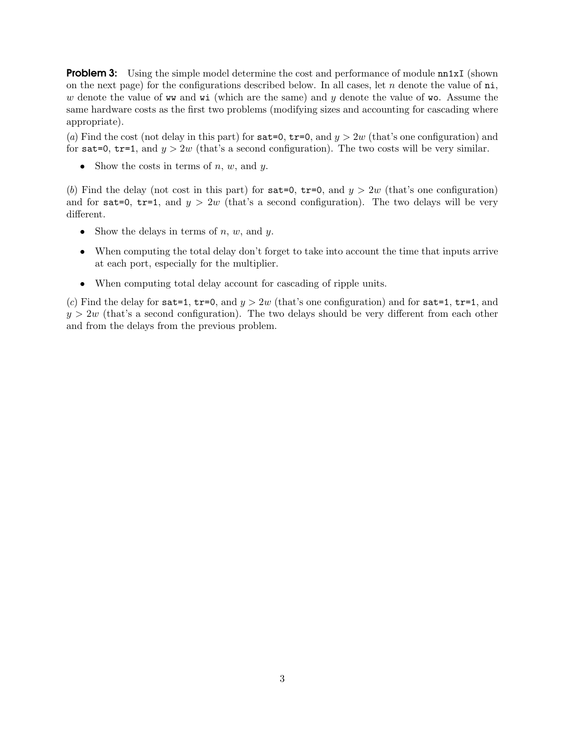**Problem 3:** Using the simple model determine the cost and performance of module nn1xI (shown on the next page) for the configurations described below. In all cases, let n denote the value of  $n_i$ , w denote the value of ww and wi (which are the same) and y denote the value of wo. Assume the same hardware costs as the first two problems (modifying sizes and accounting for cascading where appropriate).

(a) Find the cost (not delay in this part) for sat=0, tr=0, and  $y > 2w$  (that's one configuration) and for sat=0, tr=1, and  $y > 2w$  (that's a second configuration). The two costs will be very similar.

• Show the costs in terms of n, w, and  $y$ .

(b) Find the delay (not cost in this part) for  $sat=0$ ,  $tr=0$ , and  $y > 2w$  (that's one configuration) and for sat=0, tr=1, and  $y > 2w$  (that's a second configuration). The two delays will be very different.

- Show the delays in terms of  $n, w$ , and  $y$ .
- When computing the total delay don't forget to take into account the time that inputs arrive at each port, especially for the multiplier.
- When computing total delay account for cascading of ripple units.

(c) Find the delay for sat = 1, tr=0, and  $y > 2w$  (that's one configuration) and for sat = 1, tr=1, and  $y > 2w$  (that's a second configuration). The two delays should be very different from each other and from the delays from the previous problem.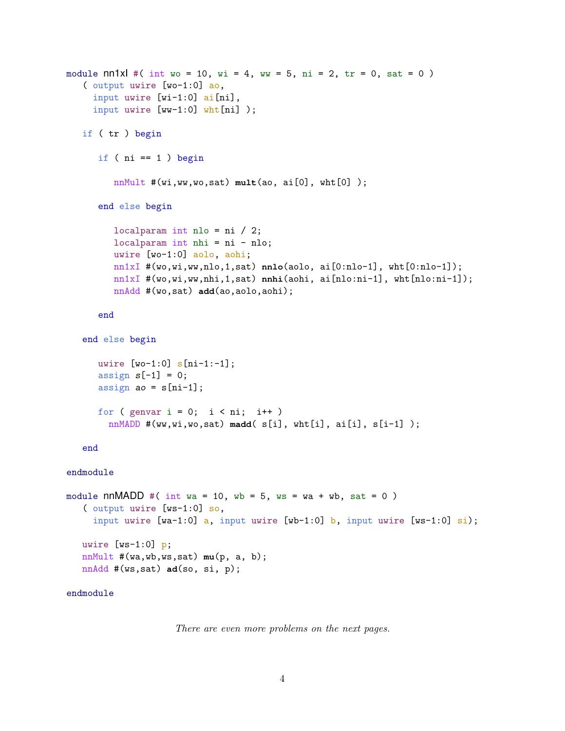```
module nn1xI #( int wo = 10, wi = 4, ww = 5, ni = 2, tr = 0, sat = 0)
   ( output uwire [wo-1:0] ao,
     input uwire [wi-1:0] ai[ni],
     input uwire [ww-1:0] wht[ni]);
   if ( tr ) begin
      if ( ni == 1 ) begin
         nnMult #(wi,ww,wo,sat) mult(ao, ai[0], wht[0] );
      end else begin
         localparam int nlo = ni / 2;
         localparam int nhi = ni - nlo;
         uwire [wo-1:0] aolo, aohi;
         nn1xI #(wo,wi,ww,nlo,1,sat) nnlo(aolo, ai[0:nlo-1], wht[0:nlo-1]);
         nn1xI #(wo,wi,ww,nhi,1,sat) nnhi(aohi, ai[nlo:ni-1], wht[nlo:ni-1]);
         nnAdd #(wo,sat) add(ao,aolo,aohi);
      end
   end else begin
      uwire [wo-1:0] s[ni-1:-1];
      assign s[-1] = 0;assign ao = s[ni-1];
      for ( genvar i = 0; i < ni; i++)nnMADD #(ww,wi,wo,sat) madd( s[i], wht[i], ai[i], s[i-1] );
   end
endmodule
module nnMADD #( int wa = 10, wb = 5, ws = wa + wb, sat = 0)
   ( output uwire [ws-1:0] so,
     input uwire [wa-1:0] a, input uwire [wb-1:0] b, input uwire [ws-1:0] si);
   uwire [ws-1:0] p;
   nnMult #(wa,wb,ws,sat) mu(p, a, b);
   nnAdd #(ws,sat) ad(so, si, p);
```
## endmodule

There are even more problems on the next pages.